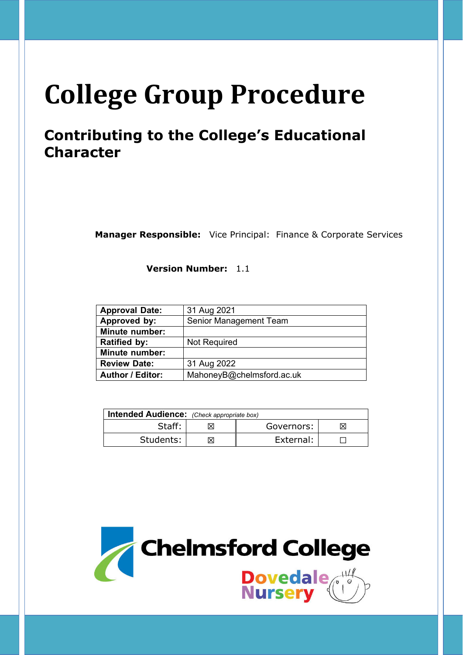# **College Group Procedure**

## **Contributing to the College's Educational Character**

**Manager Responsible:** Vice Principal: Finance & Corporate Services

**Version Number:** 1.1

| 31 Aug 2021                   |  |
|-------------------------------|--|
| <b>Senior Management Team</b> |  |
|                               |  |
| <b>Not Required</b>           |  |
|                               |  |
| 31 Aug 2022                   |  |
| MahoneyB@chelmsford.ac.uk     |  |
|                               |  |

| <b>Intended Audience:</b> (Check appropriate box) |  |            |  |  |
|---------------------------------------------------|--|------------|--|--|
| Staff:                                            |  | Governors: |  |  |
| Students:                                         |  | External:  |  |  |

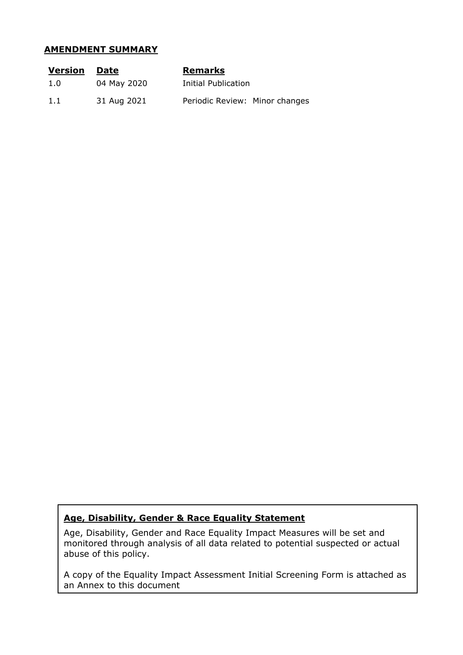#### **AMENDMENT SUMMARY**

| <u>Version</u> | Date        | <b>Remarks</b>                 |
|----------------|-------------|--------------------------------|
| 1.0            | 04 May 2020 | Initial Publication            |
| 1.1            | 31 Aug 2021 | Periodic Review: Minor changes |

#### **Age, Disability, Gender & Race Equality Statement**

Age, Disability, Gender and Race Equality Impact Measures will be set and monitored through analysis of all data related to potential suspected or actual abuse of this policy.

A copy of the Equality Impact Assessment Initial Screening Form is attached as an Annex to this document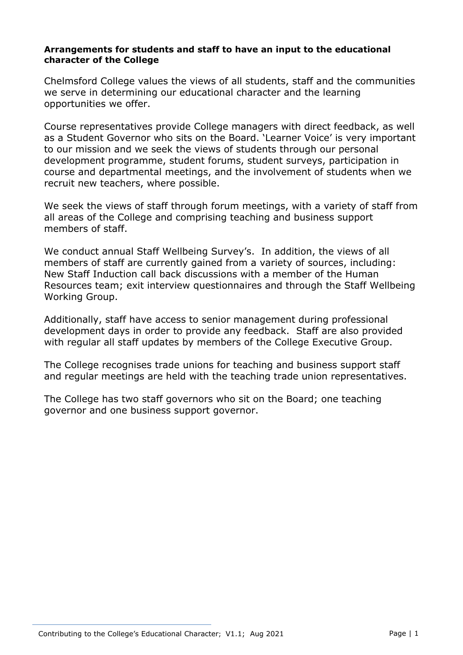#### **Arrangements for students and staff to have an input to the educational character of the College**

Chelmsford College values the views of all students, staff and the communities we serve in determining our educational character and the learning opportunities we offer.

Course representatives provide College managers with direct feedback, as well as a Student Governor who sits on the Board. 'Learner Voice' is very important to our mission and we seek the views of students through our personal development programme, student forums, student surveys, participation in course and departmental meetings, and the involvement of students when we recruit new teachers, where possible.

We seek the views of staff through forum meetings, with a variety of staff from all areas of the College and comprising teaching and business support members of staff.

We conduct annual Staff Wellbeing Survey's. In addition, the views of all members of staff are currently gained from a variety of sources, including: New Staff Induction call back discussions with a member of the Human Resources team; exit interview questionnaires and through the Staff Wellbeing Working Group.

Additionally, staff have access to senior management during professional development days in order to provide any feedback. Staff are also provided with regular all staff updates by members of the College Executive Group.

The College recognises trade unions for teaching and business support staff and regular meetings are held with the teaching trade union representatives.

The College has two staff governors who sit on the Board; one teaching governor and one business support governor.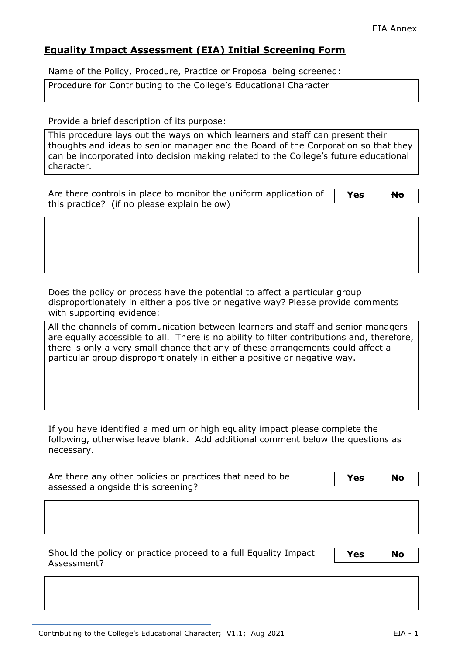### **Equality Impact Assessment (EIA) Initial Screening Form**

Name of the Policy, Procedure, Practice or Proposal being screened:

Procedure for Contributing to the College's Educational Character

Provide a brief description of its purpose:

This procedure lays out the ways on which learners and staff can present their thoughts and ideas to senior manager and the Board of the Corporation so that they can be incorporated into decision making related to the College's future educational character.

Are there controls in place to monitor the uniform application of this practice? (if no please explain below)

Yes **No** 

Does the policy or process have the potential to affect a particular group disproportionately in either a positive or negative way? Please provide comments with supporting evidence:

All the channels of communication between learners and staff and senior managers are equally accessible to all. There is no ability to filter contributions and, therefore, there is only a very small chance that any of these arrangements could affect a particular group disproportionately in either a positive or negative way.

If you have identified a medium or high equality impact please complete the following, otherwise leave blank. Add additional comment below the questions as necessary.

| Are there any other policies or practices that need to be | Yes | <b>No</b> |
|-----------------------------------------------------------|-----|-----------|
| assessed alongside this screening?                        |     |           |

Should the policy or practice proceed to a full Equality Impact Assessment?

**Yes No**